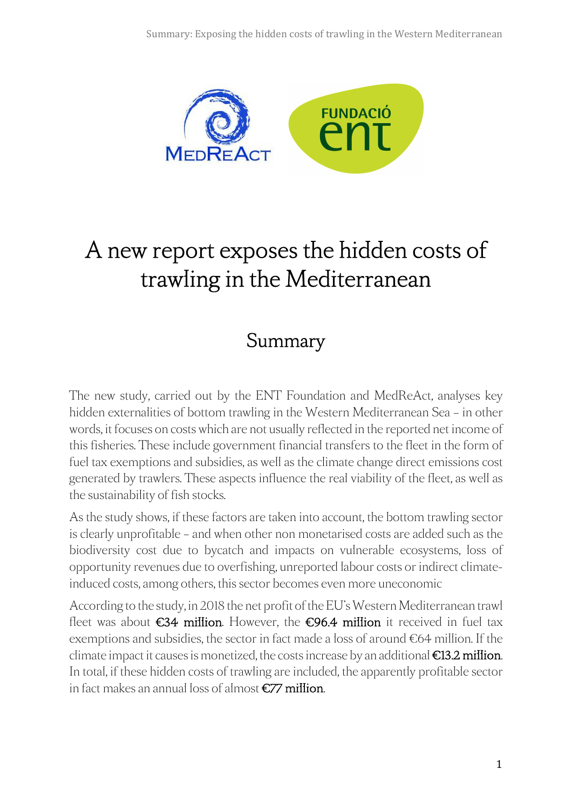

# A new report exposes the hidden costs of trawling in the Mediterranean

# Summary

The new study, carried out by the ENT Foundation and MedReAct, analyses key hidden externalities of bottom trawling in the Western Mediterranean Sea – in other words, it focuses on costs which are not usually reflected in the reported net income of this fisheries. These include government financial transfers to the fleet in the form of fuel tax exemptions and subsidies, as well as the climate change direct emissions cost generated by trawlers. These aspects influence the real viability of the fleet, as well as the sustainability of fish stocks.

As the study shows, if these factors are taken into account, the bottom trawling sector is clearly unprofitable – and when other non monetarised costs are added such as the biodiversity cost due to bycatch and impacts on vulnerable ecosystems, loss of opportunity revenues due to overfishing, unreported labour costs or indirect climateinduced costs, among others, this sector becomes even more uneconomic

According to the study, in 2018 the net profit of the EU's Western Mediterranean trawl fleet was about  $\epsilon$ 34 million. However, the  $\epsilon$ 96.4 million it received in fuel tax exemptions and subsidies, the sector in fact made a loss of around €64 million. If the climate impact it causes is monetized, the costs increase by an additional  $\epsilon$ 13.2 million. In total, if these hidden costs of trawling are included, the apparently profitable sector in fact makes an annual loss of almost €77 million.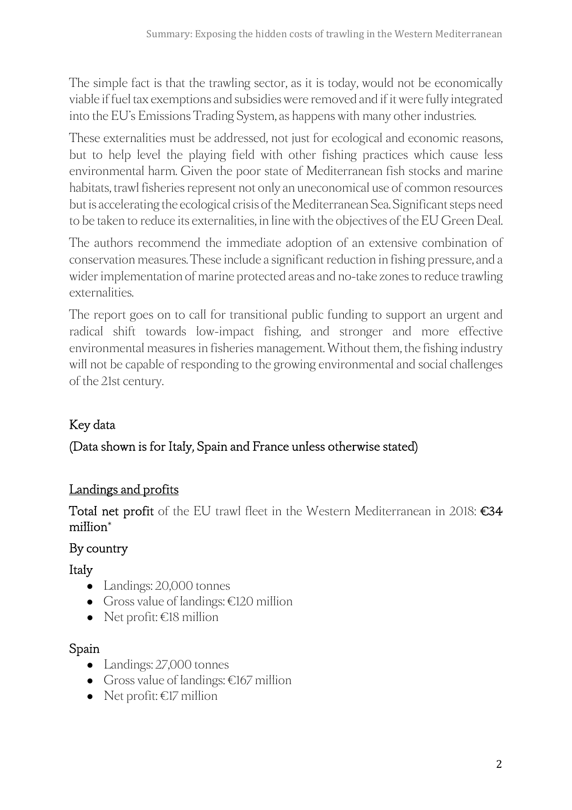The simple fact is that the trawling sector, as it is today, would not be economically viable if fuel tax exemptions and subsidies were removed and if it were fully integrated into the EU's Emissions Trading System, as happens with many other industries.

These externalities must be addressed, not just for ecological and economic reasons, but to help level the playing field with other fishing practices which cause less environmental harm. Given the poor state of Mediterranean fish stocks and marine habitats, trawl fisheries represent not only an uneconomical use of common resources but is accelerating the ecological crisis of the Mediterranean Sea. Significant steps need to be taken to reduce its externalities, in line with the objectives of the EU Green Deal.

The authors recommend the immediate adoption of an extensive combination of conservation measures. These include a significant reduction in fishing pressure, and a wider implementation of marine protected areas and no-take zones to reduce trawling externalities.

The report goes on to call for transitional public funding to support an urgent and radical shift towards low-impact fishing, and stronger and more effective environmental measures in fisheries management. Without them, the fishing industry will not be capable of responding to the growing environmental and social challenges of the 21st century.

# Key data

## (Data shown is for Italy, Spain and France unless otherwise stated)

#### Landings and profits

Total net profit of the EU trawl fleet in the Western Mediterranean in 2018: €34 million\*

#### By country

Italy

- Landings: 20,000 tonnes
- Gross value of landings: €120 million
- $\bullet$  Net profit:  $\epsilon$ 18 million

## Spain

- Landings: 27,000 tonnes
- Gross value of landings: €167 million
- Net profit:  $\epsilon$ 17 million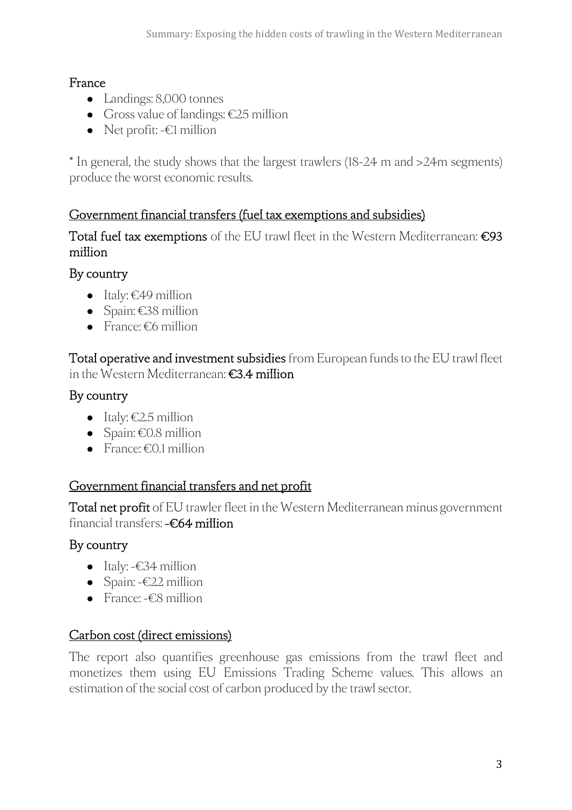#### France

- Landings: 8,000 tonnes
- Gross value of landings:  $\epsilon$ 25 million
- Net profit:  $-E1$  million

\* In general, the study shows that the largest trawlers (18-24 m and >24m segments) produce the worst economic results.

#### Government financial transfers (fuel tax exemptions and subsidies)

Total fuel tax exemptions of the EU trawl fleet in the Western Mediterranean: €93 million

#### By country

- Italy:  $\in$  49 million
- Spain: €38 million
- $\bullet$  France:  $\epsilon$ 6 million

Total operative and investment subsidies from European funds to the EU trawl fleet in the Western Mediterranean: €3.4 million

#### By country

- $\bullet$  Italy:  $\epsilon$ 2.5 million
- $\bullet$  Spain: €0.8 million
- France:  $\epsilon$ 0.1 million

## Government financial transfers and net profit

Total net profit of EU trawler fleet in the Western Mediterranean minus government financial transfers: -€64 million

## By country

- Italy: -€34 million
- Spain: -€22 million
- France: -€8 million

#### Carbon cost (direct emissions)

The report also quantifies greenhouse gas emissions from the trawl fleet and monetizes them using EU Emissions Trading Scheme values. This allows an estimation of the social cost of carbon produced by the trawl sector.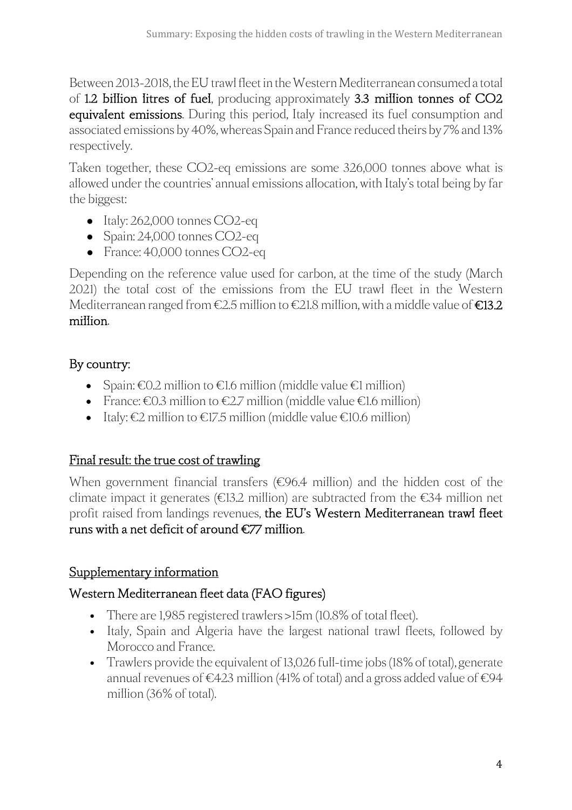Between 2013-2018, the EU trawl fleet in the Western Mediterranean consumed a total of 1.2 billion litres of fuel, producing approximately 3.3 million tonnes of CO2 equivalent emissions. During this period, Italy increased its fuel consumption and associated emissions by 40%, whereas Spain and France reduced theirs by 7% and 13% respectively.

Taken together, these CO2-eq emissions are some 326,000 tonnes above what is allowed under the countries' annual emissions allocation, with Italy's total being by far the biggest:

- Italy: 262,000 tonnes CO2-eq
- Spain: 24,000 tonnes CO2-eq
- France: 40,000 tonnes CO2-eq

Depending on the reference value used for carbon, at the time of the study (March 2021) the total cost of the emissions from the EU trawl fleet in the Western Mediterranean ranged from  $\epsilon$ 2.5 million to  $\epsilon$ 21.8 million, with a middle value of  $\epsilon$ 13.2 million.

#### By country:

- Spain:  $\epsilon$ 0.2 million to  $\epsilon$ 1.6 million (middle value  $\epsilon$ 1 million)
- France:  $\epsilon$ 0.3 million to  $\epsilon$ 2.7 million (middle value  $\epsilon$ 1.6 million)
- Italy:  $\epsilon$ 2 million to  $\epsilon$ 17.5 million (middle value  $\epsilon$ 10.6 million)

#### Final result: the true cost of trawling

When government financial transfers (€96.4 million) and the hidden cost of the climate impact it generates ( $\epsilon$ 13.2 million) are subtracted from the  $\epsilon$ 34 million net profit raised from landings revenues, the EU's Western Mediterranean trawl fleet runs with a net deficit of around  $\epsilon$ 77 million.

#### Supplementary information

#### Western Mediterranean fleet data (FAO figures)

- There are 1,985 registered trawlers >15m (10.8% of total fleet).
- Italy, Spain and Algeria have the largest national trawl fleets, followed by Morocco and France.
- Trawlers provide the equivalent of 13,026 full-time jobs (18% of total), generate annual revenues of €423 million (41% of total) and a gross added value of €94 million (36% of total).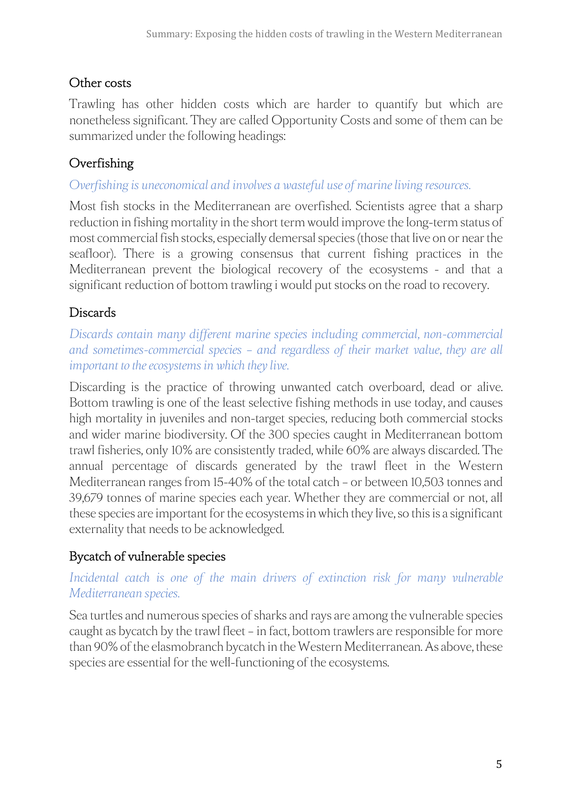## Other costs

Trawling has other hidden costs which are harder to quantify but which are nonetheless significant. They are called Opportunity Costs and some of them can be summarized under the following headings:

#### Overfishing

#### *Overfishing is uneconomical and involves a wasteful use of marine living resources.*

Most fish stocks in the Mediterranean are overfished. Scientists agree that a sharp reduction in fishing mortality in the short term would improve the long-term status of most commercial fish stocks, especially demersal species (those that live on or near the seafloor). There is a growing consensus that current fishing practices in the Mediterranean prevent the biological recovery of the ecosystems - and that a significant reduction of bottom trawling i would put stocks on the road to recovery.

#### **Discards**

*Discards contain many different marine species including commercial, non-commercial and sometimes-commercial species – and regardless of their market value, they are all important to the ecosystems in which they live.*

Discarding is the practice of throwing unwanted catch overboard, dead or alive. Bottom trawling is one of the least selective fishing methods in use today, and causes high mortality in juveniles and non-target species, reducing both commercial stocks and wider marine biodiversity. Of the 300 species caught in Mediterranean bottom trawl fisheries, only 10% are consistently traded, while 60% are always discarded. The annual percentage of discards generated by the trawl fleet in the Western Mediterranean ranges from 15-40% of the total catch – or between 10,503 tonnes and 39,679 tonnes of marine species each year. Whether they are commercial or not, all these species are important for the ecosystems in which they live, so this is a significant externality that needs to be acknowledged.

## Bycatch of vulnerable species

#### *Incidental catch is one of the main drivers of extinction risk for many vulnerable Mediterranean species.*

Sea turtles and numerous species of sharks and rays are among the vulnerable species caught as bycatch by the trawl fleet – in fact, bottom trawlers are responsible for more than 90% of the elasmobranch bycatch in the Western Mediterranean. As above, these species are essential for the well-functioning of the ecosystems.